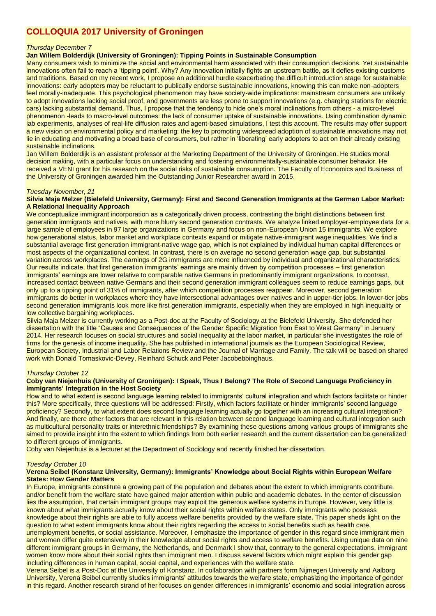# **COLLOQUIA 2017 University of Groningen**

## *Thursday December 7*

# **Jan Willem Bolderdijk (University of Groningen): Tipping Points in Sustainable Consumption**

Many consumers wish to minimize the social and environmental harm associated with their consumption decisions. Yet sustainable innovations often fail to reach a 'tipping point'. Why? Any innovation initially fights an upstream battle, as it defies existing customs and traditions. Based on my recent work, I propose an additional hurdle exacerbating the difficult introduction stage for sustainable innovations: early adopters may be reluctant to publically endorse sustainable innovations, knowing this can make non-adopters feel morally-inadequate. This psychological phenomenon may have society-wide implications: mainstream consumers are unlikely to adopt innovations lacking social proof, and governments are less prone to support innovations (e.g. charging stations for electric cars) lacking substantial demand. Thus, I propose that the tendency to hide one's moral inclinations from others - a micro-level phenomenon -leads to macro-level outcomes: the lack of consumer uptake of sustainable innovations. Using combination dynamic lab experiments, analyses of real-life diffusion rates and agent-based simulations, I test this account. The results may offer support a new vision on environmental policy and marketing; the key to promoting widespread adoption of sustainable innovations may not lie in educating and motivating a broad base of consumers, but rather in 'liberating' early adopters to act on their already existing sustainable inclinations.

Jan Willem Bolderdijk is an assistant professor at the Marketing Department of the University of Groningen. He studies moral decision making, with a particular focus on understanding and fostering environmentally-sustainable consumer behavior. He received a VENI grant for his research on the social risks of sustainable consumption. The Faculty of Economics and Business of the University of Groningen awarded him the Outstanding Junior Researcher award in 2015.

#### *Tuesday November, 21*

#### **Silvia Maja Melzer (Bielefeld University, Germany): First and Second Generation Immigrants at the German Labor Market: A Relational Inequality Approach**

We conceptualize immigrant incorporation as a categorically driven process, contrasting the bright distinctions between first generation immigrants and natives, with more blurry second generation contrasts. We analyze linked employer-employee data for a large sample of employees in 97 large organizations in Germany and focus on non-European Union 15 immigrants. We explore how generational status, labor market and workplace contexts expand or mitigate native-immigrant wage inequalities. We find a substantial average first generation immigrant-native wage gap, which is not explained by individual human capital differences or most aspects of the organizational context. In contrast, there is on average no second generation wage gap, but substantial variation across workplaces. The earnings of 2G immigrants are more influenced by individual and organizational characteristics. Our results indicate, that first generation immigrants' earnings are mainly driven by competition processes – first generation immigrants' earnings are lower relative to comparable native Germans in predominantly immigrant organizations. In contrast, increased contact between native Germans and their second generation immigrant colleagues seem to reduce earnings gaps, but only up to a tipping point of 31% of immigrants, after which competition processes reappear. Moreover, second generation immigrants do better in workplaces where they have intersectional advantages over natives and in upper-tier jobs. In lower-tier jobs second generation immigrants look more like first generation immigrants, especially when they are employed in high inequality or low collective bargaining workplaces.

Silvia Maja Melzer is currently working as a Post-doc at the Faculty of Sociology at the Bielefeld University. She defended her dissertation with the title "Causes and Consequences of the Gender Specific Migration from East to West Germany" in January 2014. Her research focuses on social structures and social inequality at the labor market, in particular she investigates the role of firms for the genesis of income inequality. She has published in international journals as the European Sociological Review, European Society, Industrial and Labor Relations Review and the Journal of Marriage and Family. The talk will be based on shared work with Donald Tomaskovic-Devey, Reinhard Schuck and Peter Jacobebbinghaus.

# *Thursday October 12*

#### **Coby van Niejenhuis (University of Groningen): I Speak, Thus I Belong? The Role of Second Language Proficiency in Immigrants' Integration in the Host Society**

How and to what extent is second language learning related to immigrants' cultural integration and which factors facilitate or hinder this? More specifically, three questions will be addressed: Firstly, which factors facilitate or hinder immigrants' second language proficiency? Secondly, to what extent does second language learning actually go together with an increasing cultural integration? And finally, are there other factors that are relevant in this relation between second language learning and cultural integration such as multicultural personality traits or interethnic friendships? By examining these questions among various groups of immigrants she aimed to provide insight into the extent to which findings from both earlier research and the current dissertation can be generalized to different groups of immigrants.

Coby van Niejenhuis is a lecturer at the Department of Sociology and recently finished her dissertation.

# *Tuesday October 10*

#### **Verena Seibel (Konstanz University, Germany): Immigrants' Knowledge about Social Rights within European Welfare States: How Gender Matters**

In Europe, immigrants constitute a growing part of the population and debates about the extent to which immigrants contribute and/or benefit from the welfare state have gained major attention within public and academic debates. In the center of discussion lies the assumption, that certain immigrant groups may exploit the generous welfare systems in Europe. However, very little is known about what immigrants actually know about their social rights within welfare states. Only immigrants who possess knowledge about their rights are able to fully access welfare benefits provided by the welfare state. This paper sheds light on the question to what extent immigrants know about their rights regarding the access to social benefits such as health care. unemployment benefits, or social assistance. Moreover, I emphasize the importance of gender in this regard since immigrant men and women differ quite extensively in their knowledge about social rights and access to welfare benefits. Using unique data on nine different immigrant groups in Germany, the Netherlands, and Denmark I show that, contrary to the general expectations, immigrant women know more about their social rights than immigrant men. I discuss several factors which might explain this gender gap including differences in human capital, social capital, and experiences with the welfare state.

Verena Seibel is a Post-Doc at the University of Konstanz. In collaboration with partners form Nijmegen University and Aalborg University, Verena Seibel currently studies immigrants' attitudes towards the welfare state, emphasizing the importance of gender in this regard. Another research strand of her focuses on gender differences in immigrants' economic and social integration across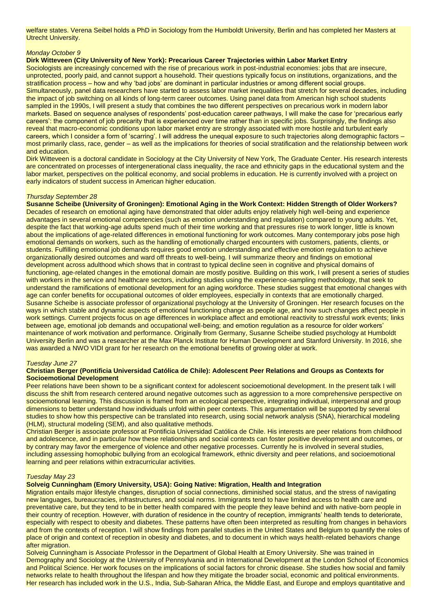welfare states. Verena Seibel holds a PhD in Sociology from the Humboldt University, Berlin and has completed her Masters at Utrecht University.

# *Monday October 9*

# **Dirk Witteveen (City University of New York): Precarious Career Trajectories within Labor Market Entry**

Sociologists are increasingly concerned with the rise of precarious work in post-industrial economies: jobs that are insecure, unprotected, poorly paid, and cannot support a household. Their questions typically focus on institutions, organizations, and the stratification process – how and why 'bad jobs' are dominant in particular industries or among different social groups. Simultaneously, panel data researchers have started to assess labor market inequalities that stretch for several decades, including the impact of job switching on all kinds of long-term career outcomes. Using panel data from American high school students sampled in the 1990s, I will present a study that combines the two different perspectives on precarious work in modern labor markets. Based on sequence analyses of respondents' post-education career pathways, I will make the case for 'precarious early careers': the component of job precarity that is experienced over time rather than in specific jobs. Surprisingly, the findings also reveal that macro-economic conditions upon labor market entry are strongly associated with more hostile and turbulent early careers, which I consider a form of 'scarring'. I will address the unequal exposure to such trajectories along demographic factors – most primarily class, race, gender – as well as the implications for theories of social stratification and the relationship between work and education.

Dirk Witteveen is a doctoral candidate in Sociology at the City University of New York, The Graduate Center. His research interests are concentrated on processes of intergenerational class inequality, the race and ethnicity gaps in the educational system and the labor market, perspectives on the political economy, and social problems in education. He is currently involved with a project on early indicators of student success in American higher education.

# *Thursday September 28*

**Susanne Scheibe (University of Groningen): Emotional Aging in the Work Context: Hidden Strength of Older Workers?** Decades of research on emotional aging have demonstrated that older adults enjoy relatively high well-being and experience advantages in several emotional competencies (such as emotion understanding and regulation) compared to young adults. Yet, despite the fact that working-age adults spend much of their time working and that pressures rise to work longer, little is known about the implications of age-related differences in emotional functioning for work outcomes. Many contemporary jobs pose high emotional demands on workers, such as the handling of emotionally charged encounters with customers, patients, clients, or students. Fulfilling emotional job demands requires good emotion understanding and effective emotion regulation to achieve organizationally desired outcomes and ward off threats to well-being. I will summarize theory and findings on emotional development across adulthood which shows that in contrast to typical decline seen in cognitive and physical domains of functioning, age-related changes in the emotional domain are mostly positive. Building on this work, I will present a series of studies with workers in the service and healthcare sectors, including studies using the experience-sampling methodology, that seek to understand the ramifications of emotional development for an aging workforce. These studies suggest that emotional changes with age can confer benefits for occupational outcomes of older employees, especially in contexts that are emotionally charged. Susanne Scheibe is associate professor of organizational psychology at the University of Groningen. Her research focuses on the ways in which stable and dynamic aspects of emotional functioning change as people age, and how such changes affect people in work settings. Current projects focus on age differences in workplace affect and emotional reactivity to stressful work events; links between age, emotional job demands and occupational well-being; and emotion regulation as a resource for older workers' maintenance of work motivation and performance. Originally from Germany, Susanne Scheibe studied psychology at Humboldt University Berlin and was a researcher at the Max Planck Institute for Human Development and Stanford University. In 2016, she was awarded a NWO VIDI grant for her research on the emotional benefits of growing older at work.

# *Tuesday June 27*

# **Christian Berger (Pontificia Universidad Católica de Chile): Adolescent Peer Relations and Groups as Contexts for Socioemotional Development**

Peer relations have been shown to be a significant context for adolescent socioemotional development. In the present talk I will discuss the shift from research centered around negative outcomes such as aggression to a more comprehensive perspective on socioemotional learning. This discussion is framed from an ecological perspective, integrating individual, interpersonal and group dimensions to better understand how individuals unfold within peer contexts. This argumentation will be supported by several studies to show how this perspective can be translated into research, using social network analysis (SNA), hierarchical modeling (HLM), structural modeling (SEM), and also qualitative methods.

Christian Berger is associate professor at Pontificia Universidad Católica de Chile. His interests are peer relations from childhood and adolescence, and in particular how these relationships and social contexts can foster positive development and outcomes, or by contrary may favor the emergence of violence and other negative processes. Currently he is involved in several studies, including assessing homophobic bullying from an ecological framework, ethnic diversity and peer relations, and socioemotional learning and peer relations within extracurricular activities.

# *Tuesday May 23*

**Solveig Cunningham (Emory University, USA): Going Native: Migration, Health and Integration**

Migration entails major lifestyle changes, disruption of social connections, diminished social status, and the stress of navigating new languages, bureaucracies, infrastructures, and social norms. Immigrants tend to have limited access to health care and preventative care, but they tend to be in better health compared with the people they leave behind and with native-born people in their country of reception. However, with duration of residence in the country of reception, immigrants' health tends to deteriorate, especially with respect to obesity and diabetes. These patterns have often been interpreted as resulting from changes in behaviors and from the contexts of reception. I will show findings from parallel studies in the United States and Belgium to quantify the roles of place of origin and context of reception in obesity and diabetes, and to document in which ways health-related behaviors change after migration.

Solveig Cunningham is Associate Professor in the Department of Global Health at Emory University. She was trained in Demography and Sociology at the University of Pennsylvania and in International Development at the London School of Economics and Political Science. Her work focuses on the implications of social factors for chronic disease. She studies how social and family networks relate to health throughout the lifespan and how they mitigate the broader social, economic and political environments. Her research has included work in the U.S., India, Sub-Saharan Africa, the Middle East, and Europe and employs quantitative and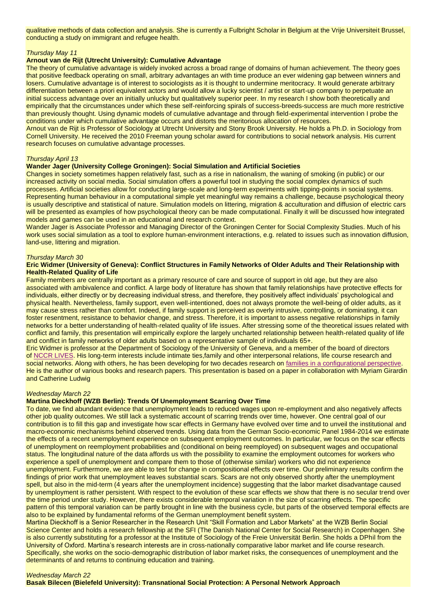qualitative methods of data collection and analysis. She is currently a Fulbright Scholar in Belgium at the Vrije Universiteit Brussel, conducting a study on immigrant and refugee health.

# *Thursday May 11*

# **Arnout van de Rijt (Utrecht University): Cumulative Advantage**

The theory of cumulative advantage is widely invoked across a broad range of domains of human achievement. The theory goes that positive feedback operating on small, arbitrary advantages an with time produce an ever widening gap between winners and losers. Cumulative advantage is of interest to sociologists as it is thought to undermine meritocracy. It would generate arbitrary differentiation between a priori equivalent actors and would allow a lucky scientist / artist or start-up company to perpetuate an initial success advantage over an initially unlucky but qualitatively superior peer. In my research I show both theoretically and empirically that the circumstances under which these self-reinforcing spirals of success-breeds-success are much more restrictive than previously thought. Using dynamic models of cumulative advantage and through field-experimental intervention I probe the conditions under which cumulative advantage occurs and distorts the meritorious allocation of resources.

Arnout van de Rijt is Professor of Sociology at Utrecht University and Stony Brook University. He holds a Ph.D. in Sociology from Cornell University. He received the 2010 Freeman young scholar award for contributions to social network analysis. His current research focuses on cumulative advantage processes.

# *Thursday April 13*

# **Wander Jager (University College Groningen): Social Simulation and Artificial Societies**

Changes in society sometimes happen relatively fast, such as a rise in nationalism, the waning of smoking (in public) or our increased activity on social media. Social simulation offers a powerful tool in studying the social complex dynamics of such processes. Artificial societies allow for conducting large-scale and long-term experiments with tipping-points in social systems. Representing human behaviour in a computational simple yet meaningful way remains a challenge, because psychological theory is usually descriptive and statistical of nature. Simulation models on littering, migration & acculturation and diffusion of electric cars will be presented as examples of how psychological theory can be made computational. Finally it will be discussed how integrated models and games can be used in an educational and research context.

Wander Jager is Associate Professor and Managing Director of the Groningen Center for Social Complexity Studies. Much of his work uses social simulation as a tool to explore human-environment interactions, e.g. related to issues such as innovation diffusion, land-use, littering and migration.

# *Thursday March 30*

#### **Eric Widmer (University of Geneva): Conflict Structures in Family Networks of Older Adults and Their Relationship with Health-Related Quality of Life**

Family members are centrally important as a primary resource of care and source of support in old age, but they are also associated with ambivalence and conflict. A large body of literature has shown that family relationships have protective effects for individuals, either directly or by decreasing individual stress, and therefore, they positively affect individuals' psychological and physical health. Nevertheless, family support, even well-intentioned, does not always promote the well-being of older adults, as it may cause stress rather than comfort. Indeed, if family support is perceived as overly intrusive, controlling, or dominating, it can foster resentment, resistance to behavior change, and stress. Therefore, it is important to assess negative relationships in family networks for a better understanding of health-related quality of life issues. After stressing some of the theoretical issues related with conflict and family, this presentation will empirically explore the largely uncharted relationship between health-related quality of life and conflict in family networks of older adults based on a representative sample of individuals 65+.

Eric Widmer is professor at the Department of Sociology of the University of Geneva, and a member of the board of directors of [NCCR LIVES.](https://www.lives-nccr.ch/en) His long-term interests include intimate ties,family and other interpersonal relations, life course research and social networks. Along with others, he has been developing for two decades research on [families in a configurational perspective.](http://www.edwidmer.org/page-research2-famconfig) He is the author of various books and research papers. This presentation is based on a paper in collaboration with Myriam Girardin and Catherine Ludwig

# *Wednesday March 22*

# **Martina Dieckhoff (WZB Berlin): Trends Of Unemployment Scarring Over Time**

To date, we find abundant evidence that unemployment leads to reduced wages upon re-employment and also negatively affects other job quality outcomes. We still lack a systematic account of scarring trends over time, however. One central goal of our contribution is to fill this gap and investigate how scar effects in Germany have evolved over time and to unveil the institutional and macro-economic mechanisms behind observed trends. Using data from the German Socio-economic Panel 1984-2014 we estimate the effects of a recent unemployment experience on subsequent employment outcomes. In particular, we focus on the scar effects of unemployment on reemployment probabilities and (conditional on being reemployed) on subsequent wages and occupational status. The longitudinal nature of the data affords us with the possibility to examine the employment outcomes for workers who experience a spell of unemployment and compare them to those of (otherwise similar) workers who did not experience unemployment. Furthermore, we are able to test for change in compositional effects over time. Our preliminary results confirm the findings of prior work that unemployment leaves substantial scars. Scars are not only observed shortly after the unemployment spell, but also in the mid-term (4 years after the unemployment incidence) suggesting that the labor market disadvantage caused by unemployment is rather persistent. With respect to the evolution of these scar effects we show that there is no secular trend over the time period under study. However, there exists considerable temporal variation in the size of scarring effects. The specific pattern of this temporal variation can be partly brought in line with the business cycle, but parts of the observed temporal effects are also to be explained by fundamental reforms of the German unemployment benefit system.

Martina Dieckhoff is a Senior Researcher in the Research Unit "Skill Formation and Labor Markets" at the WZB Berlin Social Science Center and holds a research fellowship at the SFI (The Danish National Center for Social Research) in Copenhagen. She is also currently substituting for a professor at the Institute of Sociology of the Freie Universität Berlin. She holds a DPhil from the University of Oxford. Martina's research interests are in cross-nationally comparative labor market and life course research. Specifically, she works on the socio-demographic distribution of labor market risks, the consequences of unemployment and the determinants of and returns to continuing education and training.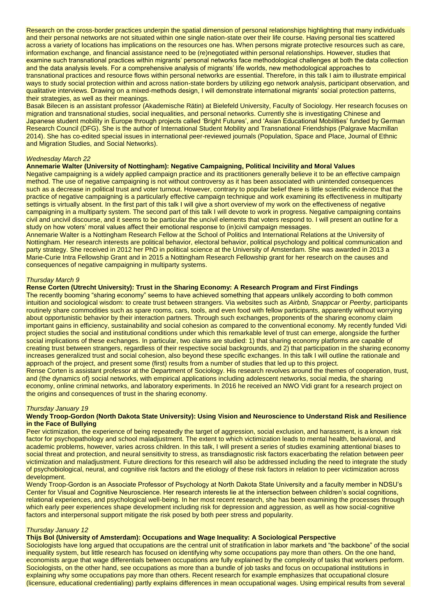Research on the cross-border practices underpin the spatial dimension of personal relationships highlighting that many individuals and their personal networks are not situated within one single nation-state over their life course. Having personal ties scattered across a variety of locations has implications on the resources one has. When persons migrate protective resources such as care, information exchange, and financial assistance need to be (re)negotiated within personal relationships. However, studies that examine such transnational practices within migrants' personal networks face methodological challenges at both the data collection and the data analysis levels. For a comprehensive analysis of migrants' life worlds, new methodological approaches to transnational practices and resource flows within personal networks are essential. Therefore, in this talk I aim to illustrate empirical ways to study social protection within and across nation-state borders by utilizing ego network analysis, participant observation, and qualitative interviews. Drawing on a mixed-methods design, I will demonstrate international migrants' social protection patterns, their strategies, as well as their meanings.

Basak Bilecen is an assistant professor (Akademische Rätin) at Bielefeld University, Faculty of Sociology. Her research focuses on migration and transnational studies, social inequalities, and personal networks. Currently she is investigating Chinese and Japanese student mobility in Europe through projects called 'Bright Futures', and 'Asian Educational Mobilities' funded by German Research Council (DFG). She is the author of International Student Mobility and Transnational Friendships (Palgrave Macmillan 2014). She has co-edited special issues in international peer-reviewed journals (Population, Space and Place, Journal of Ethnic and Migration Studies, and Social Networks).

# *Wednesday March 22*

#### **Annemarie Walter (University of Nottingham): Negative Campaigning, Political Incivility and Moral Values**

Negative campaigning is a widely applied campaign practice and its practitioners generally believe it to be an effective campaign method. The use of negative campaigning is not without controversy as it has been associated with unintended consequences such as a decrease in political trust and voter turnout. However, contrary to popular belief there is little scientific evidence that the practice of negative campaigning is a particularly effective campaign technique and work examining its effectiveness in multiparty settings is virtually absent. In the first part of this talk I will give a short overview of my work on the effectiveness of negative campaigning in a multiparty system. The second part of this talk I will devote to work in progress. Negative campaigning contains civil and uncivil discourse, and it seems to be particular the uncivil elements that voters respond to. I will present an outline for a study on how voters' moral values affect their emotional response to (in)civil campaign messages.

Annemarie Walter is a Nottingham Research Fellow at the School of Politics and International Relations at the University of Nottingham. Her research interests are political behavior, electoral behavior, political psychology and political communication and party strategy. She received in 2012 her PhD in political science at the University of Amsterdam. She was awarded in 2013 a Marie-Curie Intra Fellowship Grant and in 2015 a Nottingham Research Fellowship grant for her research on the causes and consequences of negative campaigning in multiparty systems.

#### *Thursday March 9*

#### **Rense Corten (Utrecht University): Trust in the Sharing Economy: A Research Program and First Findings**

The recently booming "sharing economy" seems to have achieved something that appears unlikely according to both common intuition and sociological wisdom: to create trust between strangers. Via websites such as *Airbnb, Snappcar* or *Peerby*, participants routinely share commodities such as spare rooms, cars, tools, and even food with fellow participants, apparently without worrying about opportunistic behavior by their interaction partners. Through such exchanges, proponents of the sharing economy claim important gains in efficiency, sustainability and social cohesion as compared to the conventional economy. My recently funded Vidi project studies the social and institutional conditions under which this remarkable level of trust can emerge, alongside the further social implications of these exchanges. In particular, two claims are studied: 1) that sharing economy platforms are capable of creating trust between strangers, regardless of their respective social backgrounds, and 2) that participation in the sharing economy increases generalized trust and social cohesion, also beyond these specific exchanges. In this talk I will outline the rationale and approach of the project, and present some (first) results from a number of studies that led up to this project.

Rense Corten is assistant professor at the Department of Sociology. His research revolves around the themes of cooperation, trust, and (the dynamics of) social networks, with empirical applications including adolescent networks, social media, the sharing economy, online criminal networks, and laboratory experiments. In 2016 he received an NWO Vidi grant for a research project on the origins and consequences of trust in the sharing economy.

# *Thursday January 19*

#### **Wendy Troop-Gordon (North Dakota State University): Using Vision and Neuroscience to Understand Risk and Resilience in the Face of Bullying**

Peer victimization, the experience of being repeatedly the target of aggression, social exclusion, and harassment, is a known risk factor for psychopathology and school maladjustment. The extent to which victimization leads to mental health, behavioral, and academic problems, however, varies across children. In this talk, I will present a series of studies examining attentional biases to social threat and protection, and neural sensitivity to stress, as transdiagnostic risk factors exacerbating the relation between peer victimization and maladjustment. Future directions for this research will also be addressed including the need to integrate the study of psychobiological, neural, and cognitive risk factors and the etiology of these risk factors in relation to peer victimization across development.

Wendy Troop-Gordon is an Associate Professor of Psychology at North Dakota State University and a faculty member in NDSU's Center for Visual and Cognitive Neuroscience. Her research interests lie at the intersection between children's social cognitions, relational experiences, and psychological well-being. In her most recent research, she has been examining the processes through which early peer experiences shape development including risk for depression and aggression, as well as how social-cognitive factors and interpersonal support mitigate the risk posed by both peer stress and popularity.

# *Thursday January 12*

#### **Thijs Bol (University of Amsterdam): Occupations and Wage Inequality: A Sociological Perspective**

Sociologists have long argued that occupations are the central unit of stratification in labor markets and "the backbone" of the social inequality system, but little research has focused on identifying why some occupations pay more than others. On the one hand, economists argue that wage differentials between occupations are fully explained by the complexity of tasks that workers perform. Sociologists, on the other hand, see occupations as more than a bundle of job tasks and focus on occupational institutions in explaining why some occupations pay more than others. Recent research for example emphasizes that occupational closure (licensure, educational credentialing) partly explains differences in mean occupational wages. Using empirical results from several